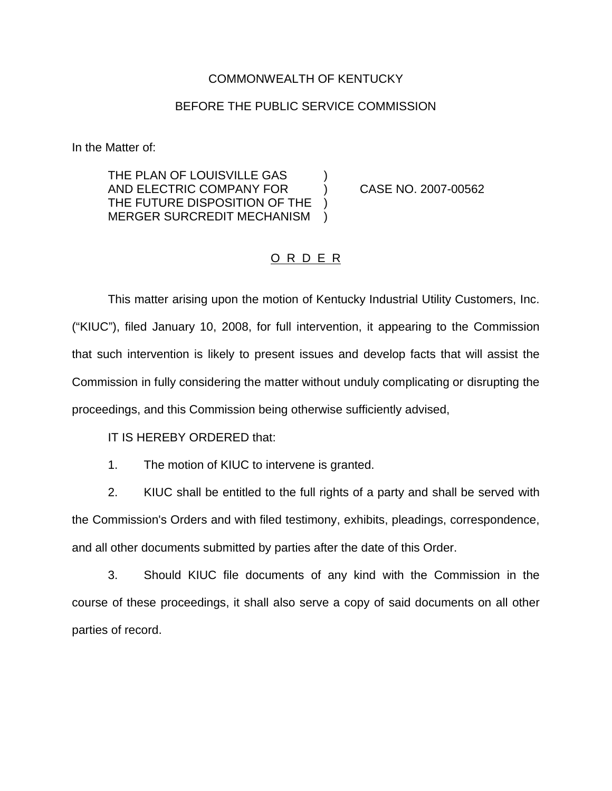## COMMONWEALTH OF KENTUCKY

## BEFORE THE PUBLIC SERVICE COMMISSION

In the Matter of:

THE PLAN OF LOUISVILLE GAS AND ELECTRIC COMPANY FOR ) CASE NO. 2007-00562 THE FUTURE DISPOSITION OF THE ) MERGER SURCREDIT MECHANISM )

## O R D E R

This matter arising upon the motion of Kentucky Industrial Utility Customers, Inc. ("KIUC"), filed January 10, 2008, for full intervention, it appearing to the Commission that such intervention is likely to present issues and develop facts that will assist the Commission in fully considering the matter without unduly complicating or disrupting the proceedings, and this Commission being otherwise sufficiently advised,

IT IS HEREBY ORDERED that:

1. The motion of KIUC to intervene is granted.

2. KIUC shall be entitled to the full rights of a party and shall be served with the Commission's Orders and with filed testimony, exhibits, pleadings, correspondence, and all other documents submitted by parties after the date of this Order.

3. Should KIUC file documents of any kind with the Commission in the course of these proceedings, it shall also serve a copy of said documents on all other parties of record.